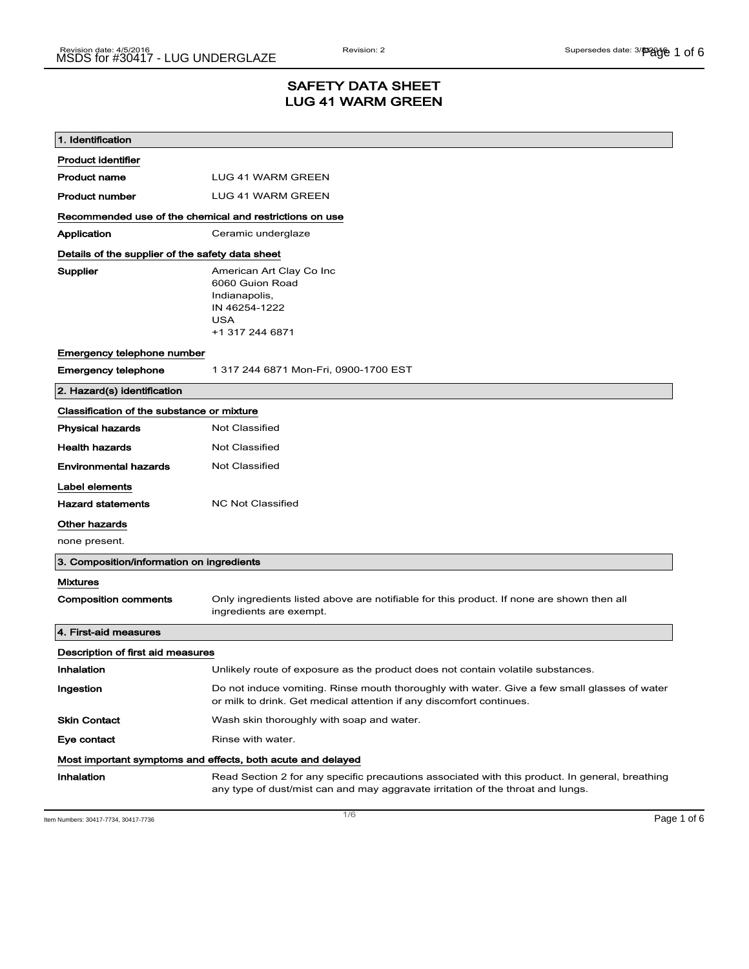# SAFETY DATA SHEET LUG 41 WARM GREEN

| 1. Identification                                           |                                                                                                                                                                                    |
|-------------------------------------------------------------|------------------------------------------------------------------------------------------------------------------------------------------------------------------------------------|
| <b>Product identifier</b>                                   |                                                                                                                                                                                    |
| <b>Product name</b>                                         | LUG 41 WARM GREEN                                                                                                                                                                  |
| <b>Product number</b>                                       | <b>LUG 41 WARM GREEN</b>                                                                                                                                                           |
| Recommended use of the chemical and restrictions on use     |                                                                                                                                                                                    |
| Application                                                 | Ceramic underglaze                                                                                                                                                                 |
| Details of the supplier of the safety data sheet            |                                                                                                                                                                                    |
| Supplier                                                    | American Art Clay Co Inc<br>6060 Guion Road<br>Indianapolis,<br>IN 46254-1222<br><b>USA</b><br>+1 317 244 6871                                                                     |
| Emergency telephone number                                  |                                                                                                                                                                                    |
| <b>Emergency telephone</b>                                  | 1 317 244 6871 Mon-Fri, 0900-1700 EST                                                                                                                                              |
| 2. Hazard(s) identification                                 |                                                                                                                                                                                    |
| Classification of the substance or mixture                  |                                                                                                                                                                                    |
| <b>Physical hazards</b>                                     | Not Classified                                                                                                                                                                     |
| <b>Health hazards</b>                                       | <b>Not Classified</b>                                                                                                                                                              |
| <b>Environmental hazards</b>                                | Not Classified                                                                                                                                                                     |
| Label elements                                              |                                                                                                                                                                                    |
| <b>Hazard statements</b>                                    | <b>NC Not Classified</b>                                                                                                                                                           |
| Other hazards                                               |                                                                                                                                                                                    |
| none present.                                               |                                                                                                                                                                                    |
| 3. Composition/information on ingredients                   |                                                                                                                                                                                    |
| <b>Mixtures</b>                                             |                                                                                                                                                                                    |
| <b>Composition comments</b>                                 | Only ingredients listed above are notifiable for this product. If none are shown then all<br>ingredients are exempt.                                                               |
| 4. First-aid measures                                       |                                                                                                                                                                                    |
| Description of first aid measures                           |                                                                                                                                                                                    |
| Inhalation                                                  | Unlikely route of exposure as the product does not contain volatile substances.                                                                                                    |
| Ingestion                                                   | Do not induce vomiting. Rinse mouth thoroughly with water. Give a few small glasses of water<br>or milk to drink. Get medical attention if any discomfort continues.               |
| <b>Skin Contact</b>                                         | Wash skin thoroughly with soap and water.                                                                                                                                          |
| Eye contact                                                 | Rinse with water.                                                                                                                                                                  |
| Most important symptoms and effects, both acute and delayed |                                                                                                                                                                                    |
| Inhalation                                                  | Read Section 2 for any specific precautions associated with this product. In general, breathing<br>any type of dust/mist can and may aggravate irritation of the throat and lungs. |

Item Numbers: 30417-7734, 30417-7736 Page 1 of 6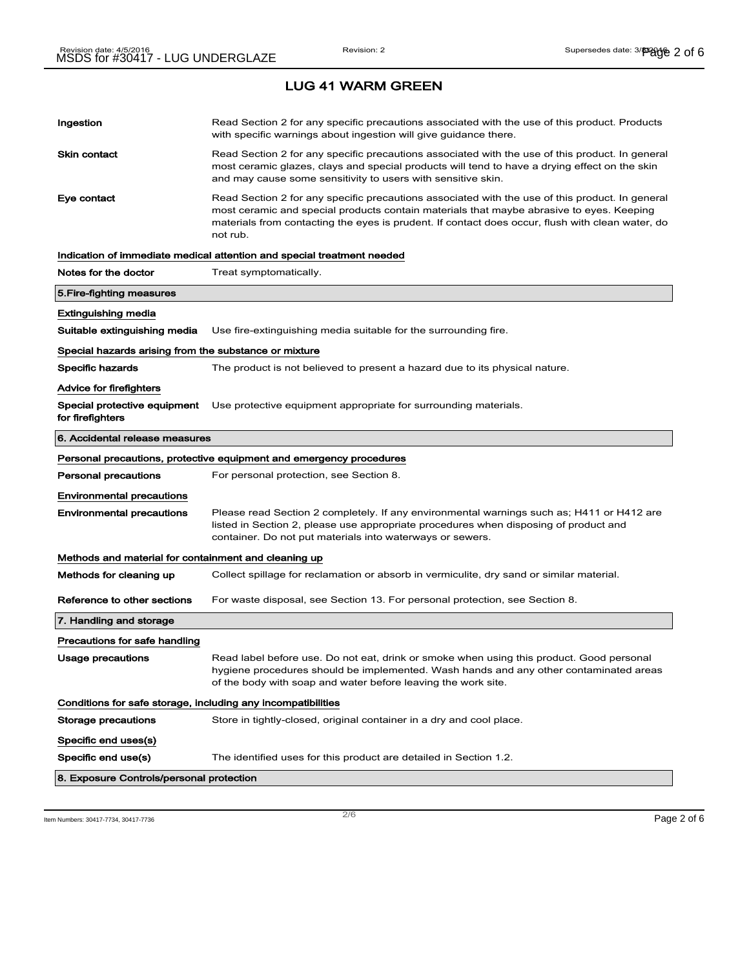| Ingestion                                                                           | Read Section 2 for any specific precautions associated with the use of this product. Products<br>with specific warnings about ingestion will give guidance there.                                                                                                                                           |  |
|-------------------------------------------------------------------------------------|-------------------------------------------------------------------------------------------------------------------------------------------------------------------------------------------------------------------------------------------------------------------------------------------------------------|--|
| Skin contact                                                                        | Read Section 2 for any specific precautions associated with the use of this product. In general<br>most ceramic glazes, clays and special products will tend to have a drying effect on the skin<br>and may cause some sensitivity to users with sensitive skin.                                            |  |
| Eye contact                                                                         | Read Section 2 for any specific precautions associated with the use of this product. In general<br>most ceramic and special products contain materials that maybe abrasive to eyes. Keeping<br>materials from contacting the eyes is prudent. If contact does occur, flush with clean water, do<br>not rub. |  |
|                                                                                     | Indication of immediate medical attention and special treatment needed                                                                                                                                                                                                                                      |  |
| Notes for the doctor                                                                | Treat symptomatically.                                                                                                                                                                                                                                                                                      |  |
| 5.Fire-fighting measures                                                            |                                                                                                                                                                                                                                                                                                             |  |
| Extinguishing media                                                                 |                                                                                                                                                                                                                                                                                                             |  |
| Suitable extinguishing media                                                        | Use fire-extinguishing media suitable for the surrounding fire.                                                                                                                                                                                                                                             |  |
| Special hazards arising from the substance or mixture                               |                                                                                                                                                                                                                                                                                                             |  |
| Specific hazards                                                                    | The product is not believed to present a hazard due to its physical nature.                                                                                                                                                                                                                                 |  |
| Advice for firefighters                                                             |                                                                                                                                                                                                                                                                                                             |  |
| Special protective equipment<br>for firefighters                                    | Use protective equipment appropriate for surrounding materials.                                                                                                                                                                                                                                             |  |
| 6. Accidental release measures                                                      |                                                                                                                                                                                                                                                                                                             |  |
|                                                                                     |                                                                                                                                                                                                                                                                                                             |  |
|                                                                                     | Personal precautions, protective equipment and emergency procedures                                                                                                                                                                                                                                         |  |
| <b>Personal precautions</b>                                                         | For personal protection, see Section 8.                                                                                                                                                                                                                                                                     |  |
| <b>Environmental precautions</b>                                                    |                                                                                                                                                                                                                                                                                                             |  |
| <b>Environmental precautions</b>                                                    | Please read Section 2 completely. If any environmental warnings such as; H411 or H412 are<br>listed in Section 2, please use appropriate procedures when disposing of product and<br>container. Do not put materials into waterways or sewers.                                                              |  |
| Methods and material for containment and cleaning up                                |                                                                                                                                                                                                                                                                                                             |  |
| Methods for cleaning up                                                             | Collect spillage for reclamation or absorb in vermiculite, dry sand or similar material.                                                                                                                                                                                                                    |  |
| Reference to other sections                                                         | For waste disposal, see Section 13. For personal protection, see Section 8.                                                                                                                                                                                                                                 |  |
| 7. Handling and storage                                                             |                                                                                                                                                                                                                                                                                                             |  |
| Precautions for safe handling                                                       |                                                                                                                                                                                                                                                                                                             |  |
| Usage precautions                                                                   | Read label before use. Do not eat, drink or smoke when using this product. Good personal<br>hygiene procedures should be implemented. Wash hands and any other contaminated areas<br>of the body with soap and water before leaving the work site.                                                          |  |
|                                                                                     |                                                                                                                                                                                                                                                                                                             |  |
| Conditions for safe storage, including any incompatibilities<br>Storage precautions | Store in tightly-closed, original container in a dry and cool place.                                                                                                                                                                                                                                        |  |
|                                                                                     |                                                                                                                                                                                                                                                                                                             |  |
| Specific end uses(s)<br>Specific end use(s)                                         | The identified uses for this product are detailed in Section 1.2.                                                                                                                                                                                                                                           |  |

Item Numbers: 30417-7734, 30417-7736  $\sim$  2/6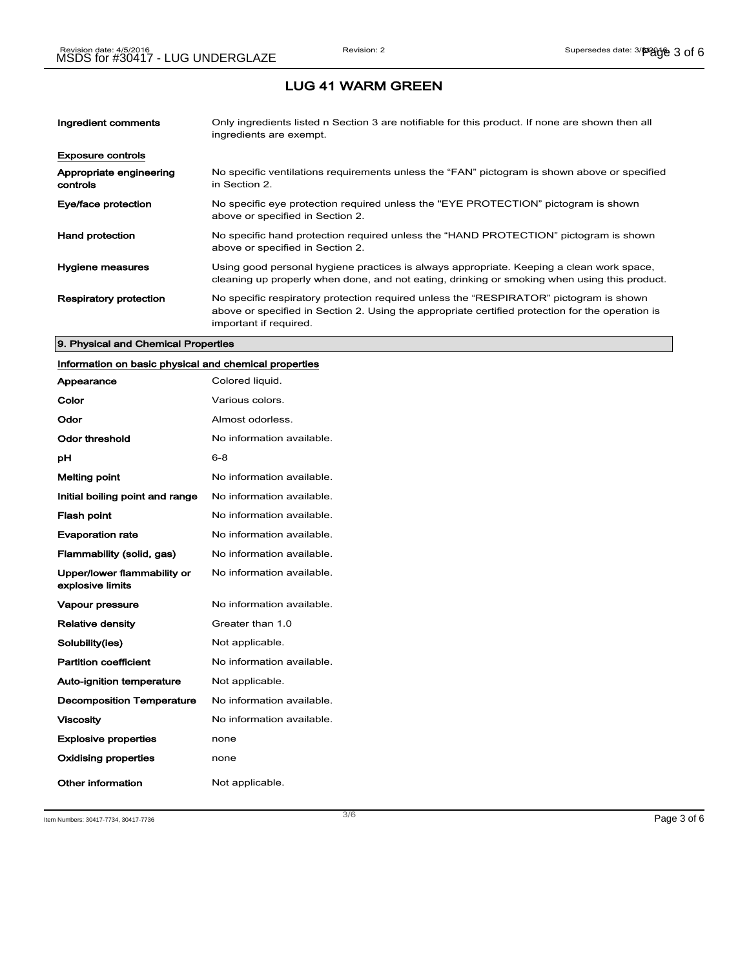| Ingredient comments                 | Only ingredients listed n Section 3 are notifiable for this product. If none are shown then all<br>ingredients are exempt.                                                                                           |
|-------------------------------------|----------------------------------------------------------------------------------------------------------------------------------------------------------------------------------------------------------------------|
| <b>Exposure controls</b>            |                                                                                                                                                                                                                      |
| Appropriate engineering<br>controls | No specific ventilations requirements unless the "FAN" pictogram is shown above or specified<br>in Section 2.                                                                                                        |
| Eye/face protection                 | No specific eye protection required unless the "EYE PROTECTION" pictogram is shown<br>above or specified in Section 2.                                                                                               |
| <b>Hand protection</b>              | No specific hand protection required unless the "HAND PROTECTION" pictogram is shown<br>above or specified in Section 2.                                                                                             |
| Hygiene measures                    | Using good personal hygiene practices is always appropriate. Keeping a clean work space,<br>cleaning up properly when done, and not eating, drinking or smoking when using this product.                             |
| <b>Respiratory protection</b>       | No specific respiratory protection required unless the "RESPIRATOR" pictogram is shown<br>above or specified in Section 2. Using the appropriate certified protection for the operation is<br>important if required. |

### 9. Physical and Chemical Properties

# Information on basic physical and chemical properties

| Appearance                                      | Colored liquid.           |
|-------------------------------------------------|---------------------------|
| Color                                           | Various colors.           |
| Odor                                            | Almost odorless.          |
| Odor threshold                                  | No information available. |
| рH                                              | $6 - 8$                   |
| <b>Melting point</b>                            | No information available. |
| Initial boiling point and range                 | No information available. |
| <b>Flash point</b>                              | No information available. |
| <b>Evaporation rate</b>                         | No information available. |
| Flammability (solid, gas)                       | No information available. |
| Upper/lower flammability or<br>explosive limits | No information available. |
| <b>Vapour pressure</b>                          | No information available. |
| <b>Relative density</b>                         | Greater than 1.0          |
| Solubility(ies)                                 | Not applicable.           |
| <b>Partition coefficient</b>                    | No information available. |
| <b>Auto-ignition temperature</b>                | Not applicable.           |
| <b>Decomposition Temperature</b>                | No information available. |
| <b>Viscosity</b>                                | No information available. |
| <b>Explosive properties</b>                     | none                      |
| <b>Oxidising properties</b>                     | none                      |
| Other information                               | Not applicable.           |

Item Numbers: 30417-7734, 30417-7736 Page 3 of 6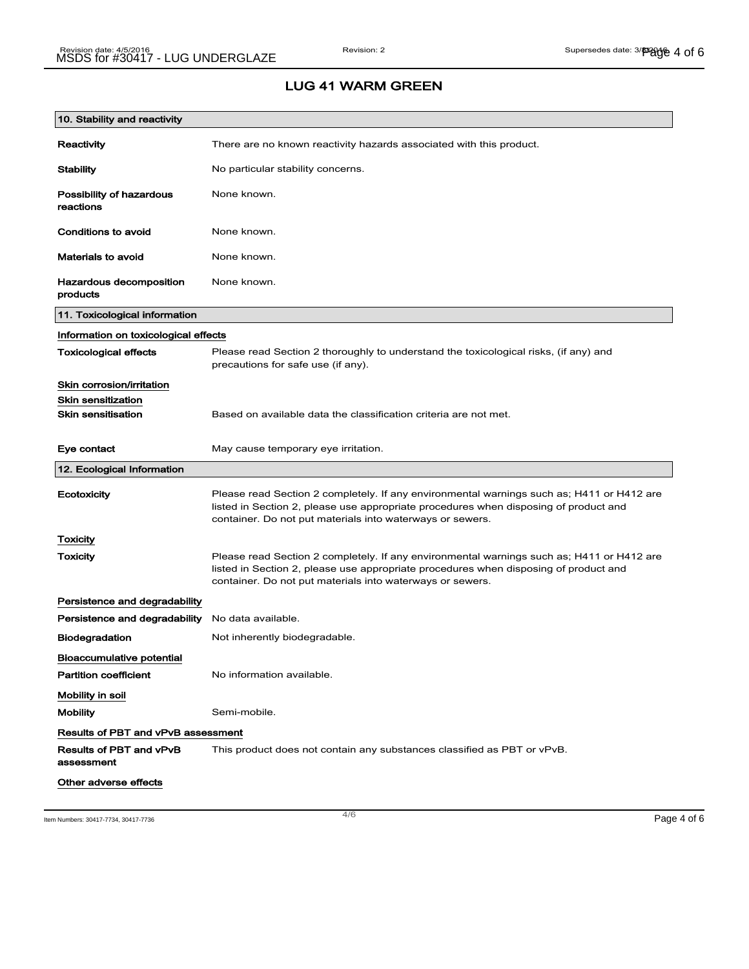| 10. Stability and reactivity              |                                                                                                                                                                                                                                                |
|-------------------------------------------|------------------------------------------------------------------------------------------------------------------------------------------------------------------------------------------------------------------------------------------------|
| Reactivity                                | There are no known reactivity hazards associated with this product.                                                                                                                                                                            |
| Stability                                 | No particular stability concerns.                                                                                                                                                                                                              |
| Possibility of hazardous<br>reactions     | None known.                                                                                                                                                                                                                                    |
| Conditions to avoid                       | None known.                                                                                                                                                                                                                                    |
| Materials to avoid                        | None known.                                                                                                                                                                                                                                    |
| Hazardous decomposition<br>products       | None known.                                                                                                                                                                                                                                    |
| 11. Toxicological information             |                                                                                                                                                                                                                                                |
| Information on toxicological effects      |                                                                                                                                                                                                                                                |
| <b>Toxicological effects</b>              | Please read Section 2 thoroughly to understand the toxicological risks, (if any) and<br>precautions for safe use (if any).                                                                                                                     |
| Skin corrosion/irritation                 |                                                                                                                                                                                                                                                |
| <b>Skin sensitization</b>                 |                                                                                                                                                                                                                                                |
| <b>Skin sensitisation</b>                 | Based on available data the classification criteria are not met.                                                                                                                                                                               |
| Eye contact                               | May cause temporary eye irritation.                                                                                                                                                                                                            |
| 12. Ecological Information                |                                                                                                                                                                                                                                                |
| Ecotoxicity                               | Please read Section 2 completely. If any environmental warnings such as; H411 or H412 are<br>listed in Section 2, please use appropriate procedures when disposing of product and<br>container. Do not put materials into waterways or sewers. |
| Toxicity                                  |                                                                                                                                                                                                                                                |
| Toxicity                                  | Please read Section 2 completely. If any environmental warnings such as; H411 or H412 are<br>listed in Section 2, please use appropriate procedures when disposing of product and<br>container. Do not put materials into waterways or sewers. |
| Persistence and degradability             |                                                                                                                                                                                                                                                |
| Persistence and degradability             | No data available.                                                                                                                                                                                                                             |
| <b>Biodegradation</b>                     | Not inherently biodegradable.                                                                                                                                                                                                                  |
| <b>Bioaccumulative potential</b>          |                                                                                                                                                                                                                                                |
| <b>Partition coefficient</b>              | No information available.                                                                                                                                                                                                                      |
| Mobility in soil                          |                                                                                                                                                                                                                                                |
|                                           |                                                                                                                                                                                                                                                |
| <b>Mobility</b>                           | Semi-mobile.                                                                                                                                                                                                                                   |
| <b>Results of PBT and vPvB assessment</b> |                                                                                                                                                                                                                                                |
| Results of PBT and vPvB<br>assessment     | This product does not contain any substances classified as PBT or vPvB.                                                                                                                                                                        |

Item Numbers: 30417-7734, 30417-7736 Page 4 of 6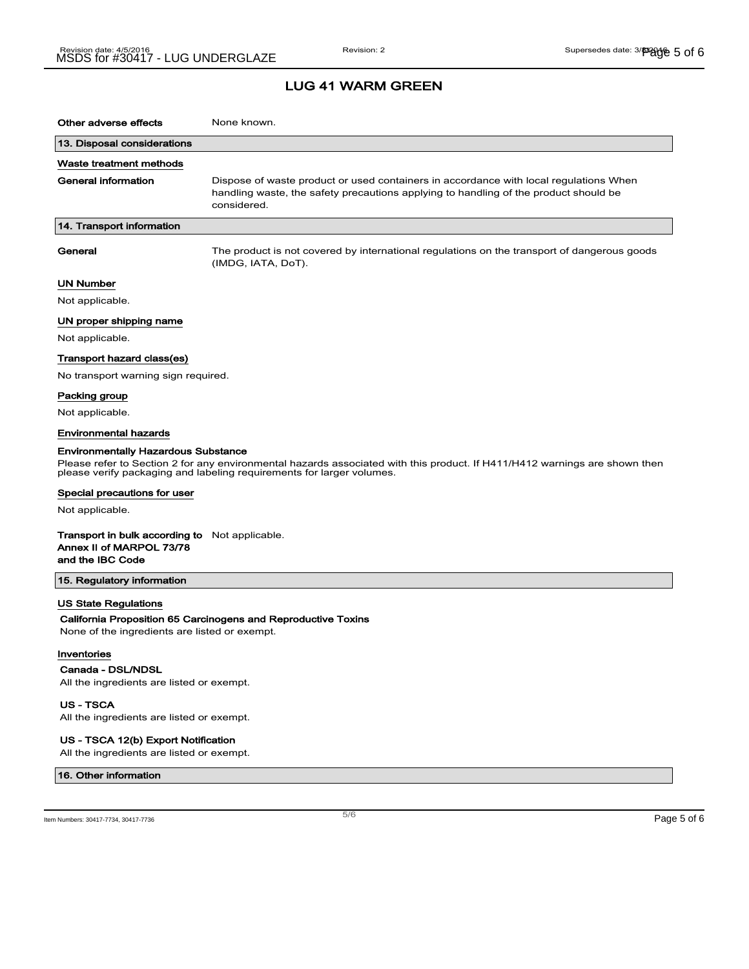| Other adverse effects                                                                                                                                                                                                                             | None known.                                                                                                                                                                                  |  |
|---------------------------------------------------------------------------------------------------------------------------------------------------------------------------------------------------------------------------------------------------|----------------------------------------------------------------------------------------------------------------------------------------------------------------------------------------------|--|
| 13. Disposal considerations                                                                                                                                                                                                                       |                                                                                                                                                                                              |  |
| Waste treatment methods                                                                                                                                                                                                                           |                                                                                                                                                                                              |  |
| General information                                                                                                                                                                                                                               | Dispose of waste product or used containers in accordance with local regulations When<br>handling waste, the safety precautions applying to handling of the product should be<br>considered. |  |
| 14. Transport information                                                                                                                                                                                                                         |                                                                                                                                                                                              |  |
| General                                                                                                                                                                                                                                           | The product is not covered by international regulations on the transport of dangerous goods<br>(IMDG, IATA, DoT).                                                                            |  |
| UN Number                                                                                                                                                                                                                                         |                                                                                                                                                                                              |  |
| Not applicable.                                                                                                                                                                                                                                   |                                                                                                                                                                                              |  |
| UN proper shipping name                                                                                                                                                                                                                           |                                                                                                                                                                                              |  |
| Not applicable.                                                                                                                                                                                                                                   |                                                                                                                                                                                              |  |
| Transport hazard class(es)                                                                                                                                                                                                                        |                                                                                                                                                                                              |  |
| No transport warning sign required.                                                                                                                                                                                                               |                                                                                                                                                                                              |  |
| Packing group                                                                                                                                                                                                                                     |                                                                                                                                                                                              |  |
| Not applicable.                                                                                                                                                                                                                                   |                                                                                                                                                                                              |  |
| <b>Environmental hazards</b>                                                                                                                                                                                                                      |                                                                                                                                                                                              |  |
| <b>Environmentally Hazardous Substance</b><br>Please refer to Section 2 for any environmental hazards associated with this product. If H411/H412 warnings are shown then<br>please verify packaging and labeling requirements for larger volumes. |                                                                                                                                                                                              |  |
| Special precautions for user                                                                                                                                                                                                                      |                                                                                                                                                                                              |  |
| Not applicable.                                                                                                                                                                                                                                   |                                                                                                                                                                                              |  |
| Transport in bulk according to Not applicable.<br>Annex II of MARPOL 73/78<br>and the IBC Code                                                                                                                                                    |                                                                                                                                                                                              |  |
| 15. Regulatory information                                                                                                                                                                                                                        |                                                                                                                                                                                              |  |
| US State Regulations<br>None of the ingredients are listed or exempt.                                                                                                                                                                             | California Proposition 65 Carcinogens and Reproductive Toxins                                                                                                                                |  |
| Inventories                                                                                                                                                                                                                                       |                                                                                                                                                                                              |  |
| Canada - DSL/NDSL                                                                                                                                                                                                                                 |                                                                                                                                                                                              |  |
| All the ingredients are listed or exempt.                                                                                                                                                                                                         |                                                                                                                                                                                              |  |
| US - TSCA<br>All the ingredients are listed or exempt.                                                                                                                                                                                            |                                                                                                                                                                                              |  |

### US - TSCA 12(b) Export Notification

All the ingredients are listed or exempt.

#### 16. Other information